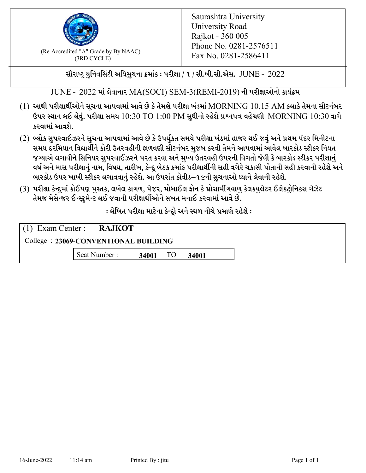

 $F_{\text{R}}$  (Re-Accredited "A" Grade by By NAAC)<br>(3PD CVCLE)<br> $F_{\text{R}}$  No. 0281-2586411 (3RD CYCLE)

સૌરાષ્ટ્ર યુનિવર્સિટી અધિસુચના ક્રમાંક : પરીક્ષા / ૧ / સી.બી.સી.એસ.  $\,$  JUNE -  $\,2022$ 

JUNE - 2022 માં લેવાનાર MA(SOCI) SEM-3(REMI-2019) ની પરીક્ષાઓનો કાર્યક્રમ

- $(1)$  આથી પરીક્ષાર્થીઓને સૂચના આપવામાં આવે છે કે તેમણે પરીક્ષા ખંડમાં  $\operatorname{MORNING}$   $10.15$   $\operatorname{AM}$  કલાકે તેમના સીટનંબર ઉપર સ્થાન લઈ લેવું. પરીક્ષા સમય  $10:30 \text{ TO } 1:00 \text{ PM}$  સુધીનો રહેશે પ્રશ્નપત્ર વહેચણી  $\text{MORNING } 10:30$  વાગે કરવામાં આવશે.
- (2) બ્લોક સુપરવાઈઝરને સુચના આપવામાં આવે છે કે ઉપર્યુકત સમયે પરીક્ષા ખંડમાં હાજર થઈ જવું અને પ્રથમ પંદર મિનીટના સમય દરમિયાન વિદ્યાર્થીને કોરી ઉતરવહીની ફાળવણી સીટનંબર મજબ કરવી તેમને આપવામાં આવેલ બારકોડ સ્ટીકર નિયત જગ્યાએ લગાવીને સિનિયર સુપરવાઈઝરને પરત કરવા અને મુખ્ય ઉતરવહી ઉપરની વિગતો જેવી કે બારકોડ સ્ટીકર પરીક્ષ<u>ાન</u>ં વર્ષ અને માસ પરીક્ષાનું નામ, વિષય, તારીખ, કેન્દ્ર બેઠક ક્રમાંક પરીક્ષાર્થીની સહી વગેરે ચકાસી પોતાની સહી કરવાની રહેશે અને બારકોડ ઉપર ખાખી સ્ટીકર લગાવવાનં રહેશે. આ ઉપરાંત કોવીડ–૧૯ની સચનાઓ ધ્યાને લેવાની રહેશે.
- (3) પરીક્ષા કેન્દ્રમાં કોઈપણ પુસ્તક, લખેલ કાગળ, પેજર, મોબાઈલ ફોન કે પ્રોગ્રામીંગવાળુ કેલકયુલેટર ઈલેકટ્રોનિકસ ગેઝેટ તેમજ મેસેન્જર ઈન્સ્ટમેન્ટ લઈ જવાની પરીક્ષાર્થીઓને સખત મનાઈ કરવામાં આવે છે.

: લેખિત પરીક્ષા માટેના કેન્દ્દો અને સ્થળ નીચે પ્રમાણે રહેશે :

|                                      | $(1)$ Exam Center : <b>RAJKOT</b> |       |    |       |  |  |
|--------------------------------------|-----------------------------------|-------|----|-------|--|--|
| College: 23069-CONVENTIONAL BUILDING |                                   |       |    |       |  |  |
|                                      | Seat Number:                      | 34001 | TO | 34001 |  |  |